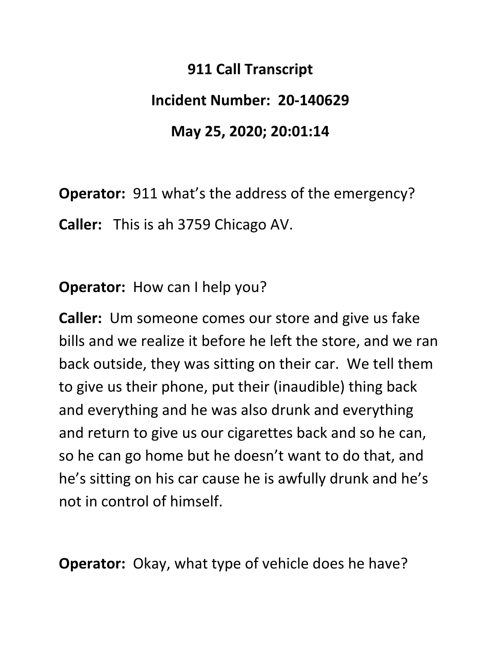## **911 Call Transcript**

## **Incident Number: 20‐140629**

## **May 25, 2020; 20:01:14**

**Operator:** 911 what's the address of the emergency? **Caller:**  This is ah 3759 Chicago AV.

**Operator:** How can I help you?

**Caller:** Um someone comes our store and give us fake bills and we realize it before he left the store, and we ran back outside, they was sitting on their car. We tell them to give us their phone, put their (inaudible) thing back and everything and he was also drunk and everything and return to give us our cigarettes back and so he can, so he can go home but he doesn't want to do that, and he's sitting on his car cause he is awfully drunk and he's not in control of himself.

**Operator:** Okay, what type of vehicle does he have?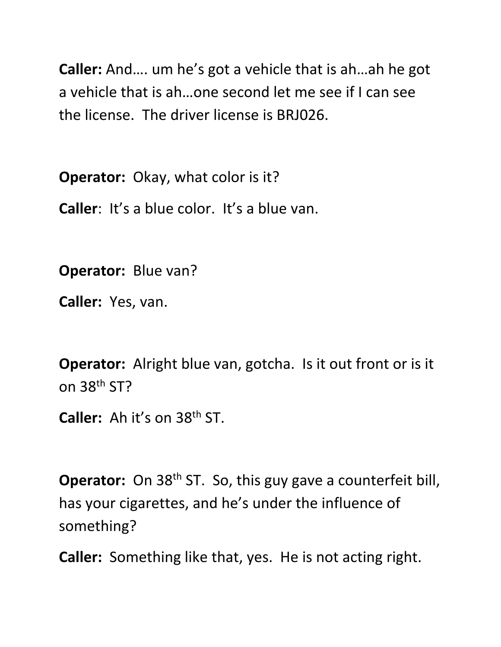**Caller:** And…. um he's got a vehicle that is ah…ah he got a vehicle that is ah…one second let me see if I can see the license. The driver license is BRJ026.

**Operator:** Okay, what color is it?

**Caller**: It's a blue color. It's a blue van.

**Operator:** Blue van?

**Caller:** Yes, van.

**Operator:** Alright blue van, gotcha. Is it out front or is it on 38th ST?

**Caller:** Ah it's on 38th ST.

**Operator:** On 38<sup>th</sup> ST. So, this guy gave a counterfeit bill, has your cigarettes, and he's under the influence of something?

**Caller:** Something like that, yes. He is not acting right.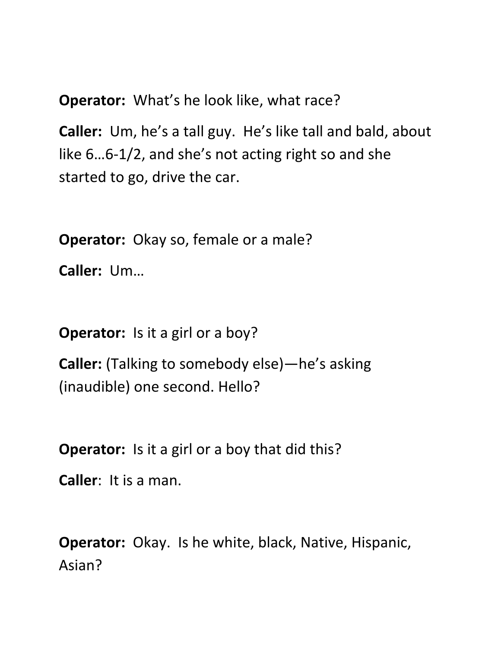**Operator:** What's he look like, what race?

**Caller:** Um, he's a tall guy. He's like tall and bald, about like 6…6‐1/2, and she's not acting right so and she started to go, drive the car.

**Operator:** Okay so, female or a male?

**Caller:** Um…

**Operator:** Is it a girl or a boy?

**Caller:** (Talking to somebody else)—he's asking (inaudible) one second. Hello?

**Operator:** Is it a girl or a boy that did this?

**Caller**: It is a man.

**Operator:** Okay. Is he white, black, Native, Hispanic, Asian?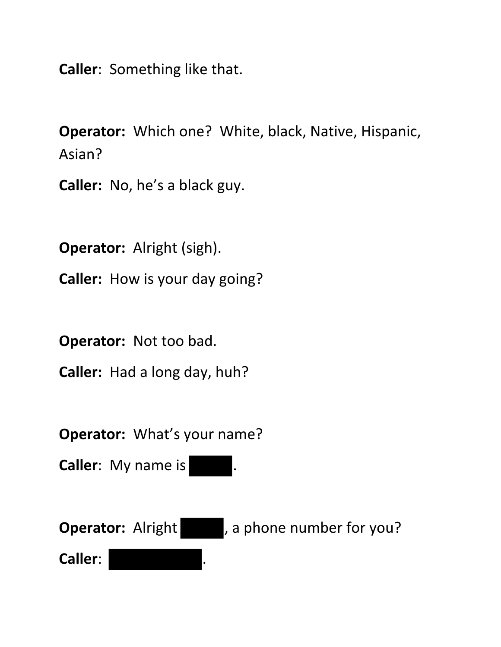**Caller**: Something like that.

**Operator:** Which one? White, black, Native, Hispanic, Asian?

**Caller:** No, he's a black guy.

**Operator:** Alright (sigh). **Caller:** How is your day going?

**Operator:** Not too bad.

**Caller:** Had a long day, huh?

**Operator:** What's your name?

**Caller:** My name is  $\blacksquare$ .

**Operator:** Alright , a phone number for you? **Caller**: .